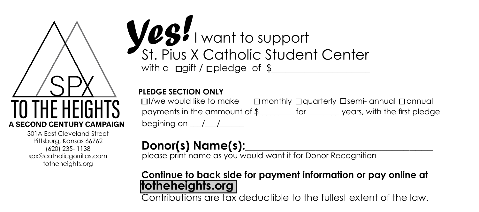A SECOND CENTURY CAMPAIGN

301A East Cleveland Street Pittsburg, Kansas 66762 (620) 235- 1138 spx@catholicgorrillas.com totheheights.org

## with a  $\Box$ gift /  $\Box$ pledge of \$ *Yes!* I want to support St. Pius X Catholic Student Center

## **PLEDGE SECTION ONLY**

 $\Box$ /we would like to make  $\Box$  monthly  $\Box$  and  $\Box$  annual annual  $\Box$  annual payments in the ammount of \$\_\_\_\_\_\_\_\_\_ for \_\_\_\_\_\_\_\_ years, with the first pledge begining on \_\_\_/\_\_\_/\_\_\_\_\_\_

## Donor(s) Name(s):

please print name as you would want it for Donor Recognition

## **Continue to back side for payment information or pay online at totheheights.org**

Contributions are tax deductible to the fullest extent of the law.